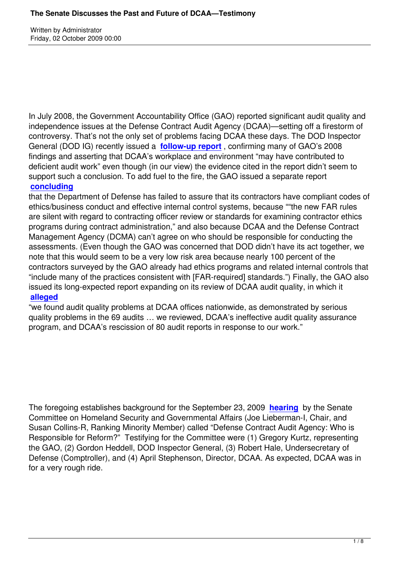Written by Administrator and Administrator and Administrator and Administrator and Administrator and Administrator and Administrator and Administrator and Administrator and Administrator and Administrator and Administrator

In July 2008, the Government Accountability Office (GAO) reported significant audit quality and independence issues at the Defense Contract Audit Agency (DCAA)—setting off a firestorm of controversy. That's not the only set of problems facing DCAA these days. The DOD Inspector General (DOD IG) recently issued a **follow-up report** , confirming many of GAO's 2008 findings and asserting that DCAA's workplace and environment "may have contributed to deficient audit work" even though (in our view) the evidence cited in the report didn't seem to support such a conclusion. To add fu[el to the fire, the G](index.php?option=com_content&view=article&id=195:dod-inspector-general-investigates-dcaa-audit-quality-and-work-environment-issues&catid=1:latest-news&Itemid=55)AO issued a separate report **concluding**

that the Department of Defense has failed to assure that its contractors have compliant codes of ethics/business conduct and effective internal control systems, because ""the new FAR rules [are silent wit](index.php?option=com_content&view=article&id=194:gao-takes-on-dod-oversight-of-contractor-ethics-programs&catid=1:latest-news&Itemid=55)h regard to contracting officer review or standards for examining contractor ethics programs during contract administration," and also because DCAA and the Defense Contract Management Agency (DCMA) can't agree on who should be responsible for conducting the assessments. (Even though the GAO was concerned that DOD didn't have its act together, we note that this would seem to be a very low risk area because nearly 100 percent of the contractors surveyed by the GAO already had ethics programs and related internal controls that "include many of the practices consistent with [FAR-required] standards.") Finally, the GAO also issued its long-expected report expanding on its review of DCAA audit quality, in which it **alleged**

"we found audit quality problems at DCAA offices nationwide, as demonstrated by serious quality problems in the 69 audits … we reviewed, DCAA's ineffective audit quality assurance [program](index.php?option=com_content&view=article&id=196:gao-reports-widespread-audit-quality-problems-at-dcaa&catid=1:latest-news&Itemid=55), and DCAA's rescission of 80 audit reports in response to our work."

The foregoing establishes background for the September 23, 2009 **hearing** by the Senate Committee on Homeland Security and Governmental Affairs (Joe Lieberman-I, Chair, and Susan Collins-R, Ranking Minority Member) called "Defense Contract Audit Agency: Who is Responsible for Reform?" Testifying for the Committee were (1) Gr[egory Ku](http://hsgac.senate.gov/public/index.cfm?FuseAction=Hearings.Hearing&Hearing_ID=3c93f098-969a-43c9-a80e-6bd14b300ff5)rtz, representing the GAO, (2) Gordon Heddell, DOD Inspector General, (3) Robert Hale, Undersecretary of Defense (Comptroller), and (4) April Stephenson, Director, DCAA. As expected, DCAA was in for a very rough ride.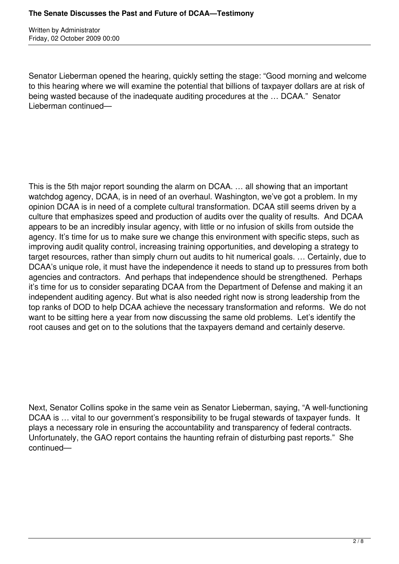Written by Administrator Friday, 02 October 2009 00:00

Senator Lieberman opened the hearing, quickly setting the stage: "Good morning and welcome to this hearing where we will examine the potential that billions of taxpayer dollars are at risk of being wasted because of the inadequate auditing procedures at the … DCAA." Senator Lieberman continued—

This is the 5th major report sounding the alarm on DCAA. … all showing that an important watchdog agency, DCAA, is in need of an overhaul. Washington, we've got a problem. In my opinion DCAA is in need of a complete cultural transformation. DCAA still seems driven by a culture that emphasizes speed and production of audits over the quality of results. And DCAA appears to be an incredibly insular agency, with little or no infusion of skills from outside the agency. It's time for us to make sure we change this environment with specific steps, such as improving audit quality control, increasing training opportunities, and developing a strategy to target resources, rather than simply churn out audits to hit numerical goals. … Certainly, due to DCAA's unique role, it must have the independence it needs to stand up to pressures from both agencies and contractors. And perhaps that independence should be strengthened. Perhaps it's time for us to consider separating DCAA from the Department of Defense and making it an independent auditing agency. But what is also needed right now is strong leadership from the top ranks of DOD to help DCAA achieve the necessary transformation and reforms. We do not want to be sitting here a year from now discussing the same old problems. Let's identify the root causes and get on to the solutions that the taxpayers demand and certainly deserve.

Next, Senator Collins spoke in the same vein as Senator Lieberman, saying, "A well-functioning DCAA is ... vital to our government's responsibility to be frugal stewards of taxpayer funds. It plays a necessary role in ensuring the accountability and transparency of federal contracts. Unfortunately, the GAO report contains the haunting refrain of disturbing past reports." She continued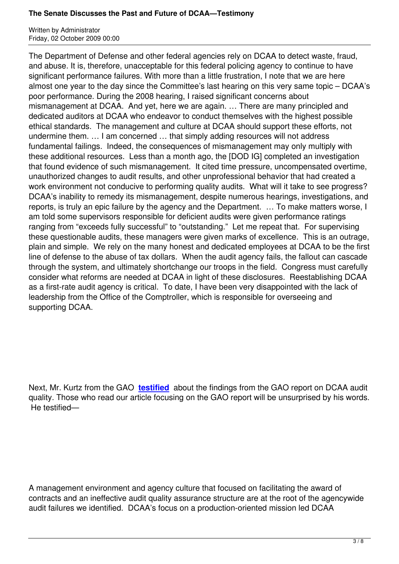The Department of Defense and other federal agencies rely on DCAA to detect waste, fraud, and abuse. It is, therefore, unacceptable for this federal policing agency to continue to have significant performance failures. With more than a little frustration, I note that we are here almost one year to the day since the Committee's last hearing on this very same topic – DCAA's poor performance. During the 2008 hearing, I raised significant concerns about mismanagement at DCAA. And yet, here we are again. … There are many principled and dedicated auditors at DCAA who endeavor to conduct themselves with the highest possible ethical standards. The management and culture at DCAA should support these efforts, not undermine them. … I am concerned … that simply adding resources will not address fundamental failings. Indeed, the consequences of mismanagement may only multiply with these additional resources. Less than a month ago, the [DOD IG] completed an investigation that found evidence of such mismanagement. It cited time pressure, uncompensated overtime, unauthorized changes to audit results, and other unprofessional behavior that had created a work environment not conducive to performing quality audits. What will it take to see progress? DCAA's inability to remedy its mismanagement, despite numerous hearings, investigations, and reports, is truly an epic failure by the agency and the Department. … To make matters worse, I am told some supervisors responsible for deficient audits were given performance ratings ranging from "exceeds fully successful" to "outstanding." Let me repeat that. For supervising these questionable audits, these managers were given marks of excellence. This is an outrage, plain and simple. We rely on the many honest and dedicated employees at DCAA to be the first line of defense to the abuse of tax dollars. When the audit agency fails, the fallout can cascade through the system, and ultimately shortchange our troops in the field. Congress must carefully consider what reforms are needed at DCAA in light of these disclosures. Reestablishing DCAA as a first-rate audit agency is critical. To date, I have been very disappointed with the lack of leadership from the Office of the Comptroller, which is responsible for overseeing and supporting DCAA.

Next, Mr. Kurtz from the GAO **testified** about the findings from the GAO report on DCAA audit quality. Those who read our article focusing on the GAO report will be unsurprised by his words. He testified—

A management environment and agency culture that focused on facilitating the award of contracts and an ineffective audit quality assurance structure are at the root of the agencywide audit failures we identified. DCAA's focus on a production-oriented mission led DCAA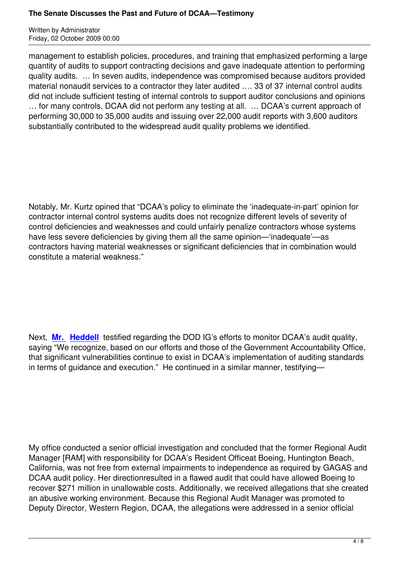management to establish policies, procedures, and training that emphasized performing a large quantity of audits to support contracting decisions and gave inadequate attention to performing quality audits. … In seven audits, independence was compromised because auditors provided material nonaudit services to a contractor they later audited …. 33 of 37 internal control audits did not include sufficient testing of internal controls to support auditor conclusions and opinions … for many controls, DCAA did not perform any testing at all. … DCAA's current approach of performing 30,000 to 35,000 audits and issuing over 22,000 audit reports with 3,600 auditors substantially contributed to the widespread audit quality problems we identified.

Notably, Mr. Kurtz opined that "DCAA's policy to eliminate the 'inadequate-in-part' opinion for contractor internal control systems audits does not recognize different levels of severity of control deficiencies and weaknesses and could unfairly penalize contractors whose systems have less severe deficiencies by giving them all the same opinion—'inadequate'—as contractors having material weaknesses or significant deficiencies that in combination would constitute a material weakness."

Next, **Mr. Heddell** testified regarding the DOD IG's efforts to monitor DCAA's audit quality, saying "We recognize, based on our efforts and those of the Government Accountability Office, that significant vulnerabilities continue to exist in DCAA's implementation of auditing standards in ter[ms of guidance](media/Heddell-Testimony.pdf) and execution." He continued in a similar manner, testifying—

My office conducted a senior official investigation and concluded that the former Regional Audit Manager [RAM] with responsibility for DCAA's Resident Officeat Boeing, Huntington Beach, California, was not free from external impairments to independence as required by GAGAS and DCAA audit policy. Her directionresulted in a flawed audit that could have allowed Boeing to recover \$271 million in unallowable costs. Additionally, we received allegations that she created an abusive working environment. Because this Regional Audit Manager was promoted to Deputy Director, Western Region, DCAA, the allegations were addressed in a senior official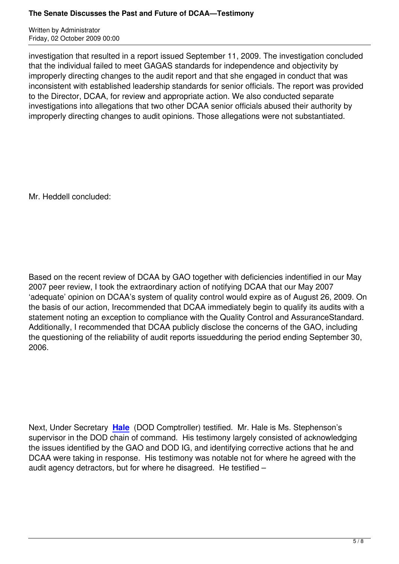investigation that resulted in a report issued September 11, 2009. The investigation concluded that the individual failed to meet GAGAS standards for independence and objectivity by improperly directing changes to the audit report and that she engaged in conduct that was inconsistent with established leadership standards for senior officials. The report was provided to the Director, DCAA, for review and appropriate action. We also conducted separate investigations into allegations that two other DCAA senior officials abused their authority by improperly directing changes to audit opinions. Those allegations were not substantiated.

Mr. Heddell concluded:

Based on the recent review of DCAA by GAO together with deficiencies indentified in our May 2007 peer review, I took the extraordinary action of notifying DCAA that our May 2007 'adequate' opinion on DCAA's system of quality control would expire as of August 26, 2009. On the basis of our action, Irecommended that DCAA immediately begin to qualify its audits with a statement noting an exception to compliance with the Quality Control and AssuranceStandard. Additionally, I recommended that DCAA publicly disclose the concerns of the GAO, including the questioning of the reliability of audit reports issuedduring the period ending September 30, 2006.

Next, Under Secretary **Hale** (DOD Comptroller) testified. Mr. Hale is Ms. Stephenson's supervisor in the DOD chain of command. His testimony largely consisted of acknowledging the issues identified by the GAO and DOD IG, and identifying corrective actions that he and DCAA were taking in re[spon](media/Hale-Testimony.pdf)se. His testimony was notable not for where he agreed with the audit agency detractors, but for where he disagreed. He testified –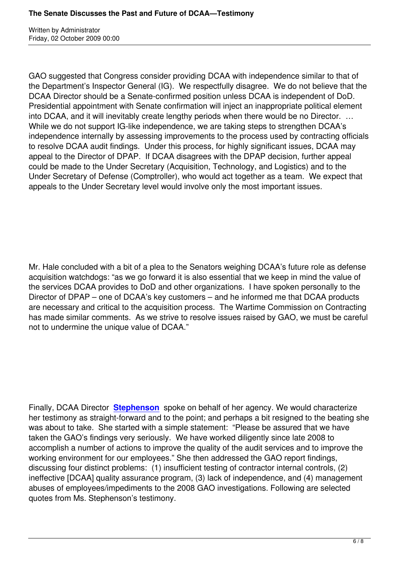Written by Administrator and Administrator and Administrator and Administrator and Administrator and Administrator and Administrator and Administrator and Administrator and Administrator and Administrator and Administrator

GAO suggested that Congress consider providing DCAA with independence similar to that of the Department's Inspector General (IG). We respectfully disagree. We do not believe that the DCAA Director should be a Senate-confirmed position unless DCAA is independent of DoD. Presidential appointment with Senate confirmation will inject an inappropriate political element into DCAA, and it will inevitably create lengthy periods when there would be no Director. … While we do not support IG-like independence, we are taking steps to strengthen DCAA's independence internally by assessing improvements to the process used by contracting officials to resolve DCAA audit findings. Under this process, for highly significant issues, DCAA may appeal to the Director of DPAP. If DCAA disagrees with the DPAP decision, further appeal could be made to the Under Secretary (Acquisition, Technology, and Logistics) and to the Under Secretary of Defense (Comptroller), who would act together as a team. We expect that appeals to the Under Secretary level would involve only the most important issues.

Mr. Hale concluded with a bit of a plea to the Senators weighing DCAA's future role as defense acquisition watchdogs: "as we go forward it is also essential that we keep in mind the value of the services DCAA provides to DoD and other organizations. I have spoken personally to the Director of DPAP – one of DCAA's key customers – and he informed me that DCAA products are necessary and critical to the acquisition process. The Wartime Commission on Contracting has made similar comments. As we strive to resolve issues raised by GAO, we must be careful not to undermine the unique value of DCAA."

Finally, DCAA Director **Stephenson** spoke on behalf of her agency. We would characterize her testimony as straight-forward and to the point; and perhaps a bit resigned to the beating she was about to take. She started with a simple statement: "Please be assured that we have taken the GAO's findin[gs very serious](media/Stephenson-Testimony.pdf)ly. We have worked diligently since late 2008 to accomplish a number of actions to improve the quality of the audit services and to improve the working environment for our employees." She then addressed the GAO report findings, discussing four distinct problems: (1) insufficient testing of contractor internal controls, (2) ineffective [DCAA] quality assurance program, (3) lack of independence, and (4) management abuses of employees/impediments to the 2008 GAO investigations. Following are selected quotes from Ms. Stephenson's testimony.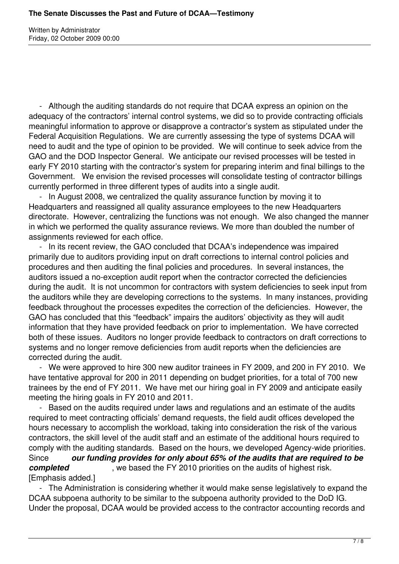Written by Administrator Friday, 02 October 2009 00:00

 - Although the auditing standards do not require that DCAA express an opinion on the adequacy of the contractors' internal control systems, we did so to provide contracting officials meaningful information to approve or disapprove a contractor's system as stipulated under the Federal Acquisition Regulations. We are currently assessing the type of systems DCAA will need to audit and the type of opinion to be provided. We will continue to seek advice from the GAO and the DOD Inspector General. We anticipate our revised processes will be tested in early FY 2010 starting with the contractor's system for preparing interim and final billings to the Government. We envision the revised processes will consolidate testing of contractor billings currently performed in three different types of audits into a single audit.

 - In August 2008, we centralized the quality assurance function by moving it to Headquarters and reassigned all quality assurance employees to the new Headquarters directorate. However, centralizing the functions was not enough. We also changed the manner in which we performed the quality assurance reviews. We more than doubled the number of assignments reviewed for each office.

 - In its recent review, the GAO concluded that DCAA's independence was impaired primarily due to auditors providing input on draft corrections to internal control policies and procedures and then auditing the final policies and procedures. In several instances, the auditors issued a no-exception audit report when the contractor corrected the deficiencies during the audit. It is not uncommon for contractors with system deficiencies to seek input from the auditors while they are developing corrections to the systems. In many instances, providing feedback throughout the processes expedites the correction of the deficiencies. However, the GAO has concluded that this "feedback" impairs the auditors' objectivity as they will audit information that they have provided feedback on prior to implementation. We have corrected both of these issues. Auditors no longer provide feedback to contractors on draft corrections to systems and no longer remove deficiencies from audit reports when the deficiencies are corrected during the audit.

 - We were approved to hire 300 new auditor trainees in FY 2009, and 200 in FY 2010. We have tentative approval for 200 in 2011 depending on budget priorities, for a total of 700 new trainees by the end of FY 2011. We have met our hiring goal in FY 2009 and anticipate easily meeting the hiring goals in FY 2010 and 2011.

 - Based on the audits required under laws and regulations and an estimate of the audits required to meet contracting officials' demand requests, the field audit offices developed the hours necessary to accomplish the workload, taking into consideration the risk of the various contractors, the skill level of the audit staff and an estimate of the additional hours required to comply with the auditing standards. Based on the hours, we developed Agency-wide priorities. Since *our funding provides for only about 65% of the audits that are required to be completed* , we based the FY 2010 priorities on the audits of highest risk. [Emphasis added.]

 - The Administration is considering whether it would make sense legislatively to expand the DCAA subpoena authority to be similar to the subpoena authority provided to the DoD IG. Under the proposal, DCAA would be provided access to the contractor accounting records and